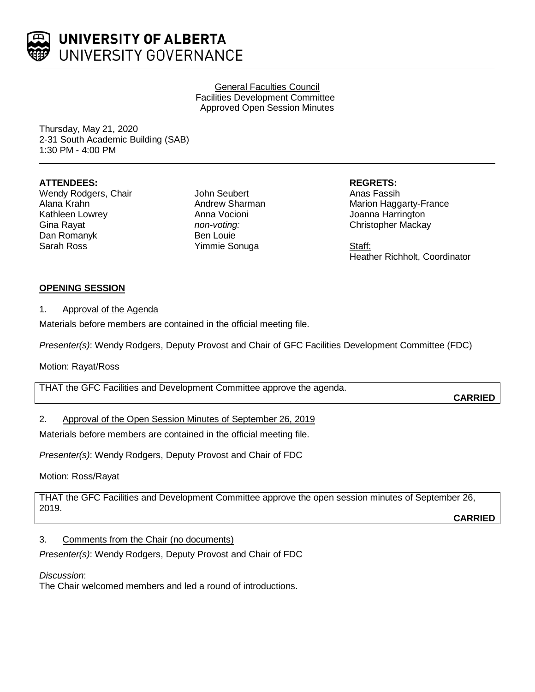

UNIVERSITY OF ALBERTA UNIVERSITY GOVERNANCE

> General Faculties Council Facilities Development Committee Approved Open Session Minutes

Thursday, May 21, 2020 2-31 South Academic Building (SAB) 1:30 PM - 4:00 PM

### **ATTENDEES:**

Wendy Rodgers, Chair Alana Krahn Kathleen Lowrey Gina Rayat Dan Romanyk Sarah Ross

John Seubert Andrew Sharman Anna Vocioni *non-voting:* Ben Louie Yimmie Sonuga

**REGRETS:**

Anas Fassih Marion Haggarty-France Joanna Harrington Christopher Mackay

Staff: Heather Richholt, Coordinator

### **OPENING SESSION**

1. Approval of the Agenda

Materials before members are contained in the official meeting file.

*Presenter(s)*: Wendy Rodgers, Deputy Provost and Chair of GFC Facilities Development Committee (FDC)

Motion: Rayat/Ross

THAT the GFC Facilities and Development Committee approve the agenda.

**CARRIED**

## 2. Approval of the Open Session Minutes of September 26, 2019

Materials before members are contained in the official meeting file.

*Presenter(s)*: Wendy Rodgers, Deputy Provost and Chair of FDC

Motion: Ross/Rayat

THAT the GFC Facilities and Development Committee approve the open session minutes of September 26, 2019.

**CARRIED**

### 3. Comments from the Chair (no documents)

*Presenter(s)*: Wendy Rodgers, Deputy Provost and Chair of FDC

*Discussion*:

The Chair welcomed members and led a round of introductions.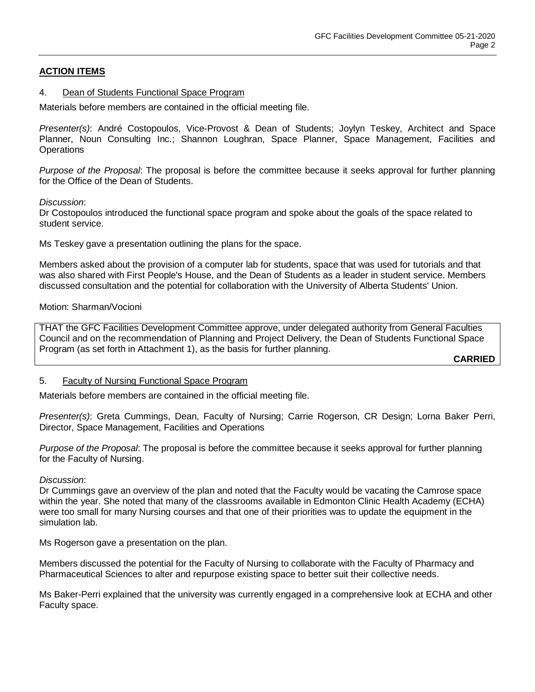## **ACTION ITEMS**

#### 4. Dean of Students Functional Space Program

Materials before members are contained in the official meeting file.

*Presenter(s)*: André Costopoulos, Vice-Provost & Dean of Students; Joylyn Teskey, Architect and Space Planner, Noun Consulting Inc.; Shannon Loughran, Space Planner, Space Management, Facilities and **Operations** 

*Purpose of the Proposal*: The proposal is before the committee because it seeks approval for further planning for the Office of the Dean of Students.

*Discussion*:

Dr Costopoulos introduced the functional space program and spoke about the goals of the space related to student service.

Ms Teskey gave a presentation outlining the plans for the space.

Members asked about the provision of a computer lab for students, space that was used for tutorials and that was also shared with First People's House, and the Dean of Students as a leader in student service. Members discussed consultation and the potential for collaboration with the University of Alberta Students' Union.

#### Motion: Sharman/Vocioni

THAT the GFC Facilities Development Committee approve, under delegated authority from General Faculties Council and on the recommendation of Planning and Project Delivery, the Dean of Students Functional Space Program (as set forth in Attachment 1), as the basis for further planning.

**CARRIED**

#### 5. Faculty of Nursing Functional Space Program

Materials before members are contained in the official meeting file.

*Presenter(s)*: Greta Cummings, Dean, Faculty of Nursing; Carrie Rogerson, CR Design; Lorna Baker Perri, Director, Space Management, Facilities and Operations

*Purpose of the Proposal*: The proposal is before the committee because it seeks approval for further planning for the Faculty of Nursing.

#### *Discussion*:

Dr Cummings gave an overview of the plan and noted that the Faculty would be vacating the Camrose space within the year. She noted that many of the classrooms available in Edmonton Clinic Health Academy (ECHA) were too small for many Nursing courses and that one of their priorities was to update the equipment in the simulation lab.

Ms Rogerson gave a presentation on the plan.

Members discussed the potential for the Faculty of Nursing to collaborate with the Faculty of Pharmacy and Pharmaceutical Sciences to alter and repurpose existing space to better suit their collective needs.

Ms Baker-Perri explained that the university was currently engaged in a comprehensive look at ECHA and other Faculty space.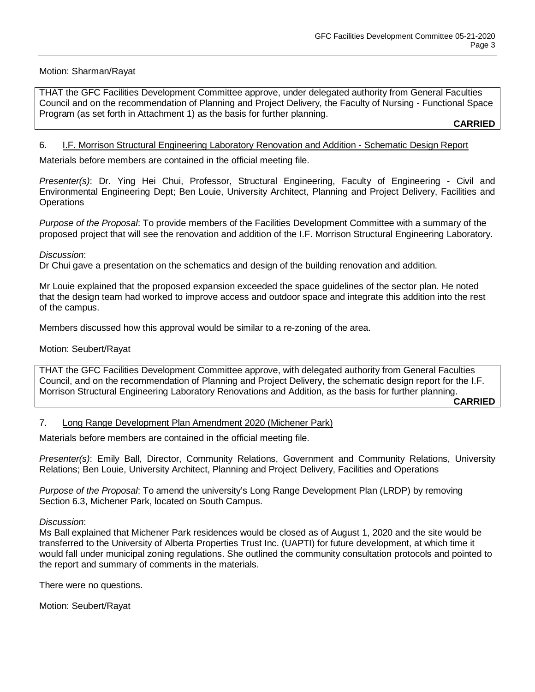### Motion: Sharman/Rayat

THAT the GFC Facilities Development Committee approve, under delegated authority from General Faculties Council and on the recommendation of Planning and Project Delivery, the Faculty of Nursing - Functional Space Program (as set forth in Attachment 1) as the basis for further planning.

**CARRIED**

#### 6. I.F. Morrison Structural Engineering Laboratory Renovation and Addition - Schematic Design Report

Materials before members are contained in the official meeting file.

*Presenter(s)*: Dr. Ying Hei Chui, Professor, Structural Engineering, Faculty of Engineering - Civil and Environmental Engineering Dept; Ben Louie, University Architect, Planning and Project Delivery, Facilities and **Operations** 

*Purpose of the Proposal*: To provide members of the Facilities Development Committee with a summary of the proposed project that will see the renovation and addition of the I.F. Morrison Structural Engineering Laboratory.

#### *Discussion*:

Dr Chui gave a presentation on the schematics and design of the building renovation and addition.

Mr Louie explained that the proposed expansion exceeded the space guidelines of the sector plan. He noted that the design team had worked to improve access and outdoor space and integrate this addition into the rest of the campus.

Members discussed how this approval would be similar to a re-zoning of the area.

#### Motion: Seubert/Rayat

THAT the GFC Facilities Development Committee approve, with delegated authority from General Faculties Council, and on the recommendation of Planning and Project Delivery, the schematic design report for the I.F. Morrison Structural Engineering Laboratory Renovations and Addition, as the basis for further planning.

**CARRIED**

### 7. Long Range Development Plan Amendment 2020 (Michener Park)

Materials before members are contained in the official meeting file.

*Presenter(s)*: Emily Ball, Director, Community Relations, Government and Community Relations, University Relations; Ben Louie, University Architect, Planning and Project Delivery, Facilities and Operations

*Purpose of the Proposal*: To amend the university's Long Range Development Plan (LRDP) by removing Section 6.3, Michener Park, located on South Campus.

#### *Discussion*:

Ms Ball explained that Michener Park residences would be closed as of August 1, 2020 and the site would be transferred to the University of Alberta Properties Trust Inc. (UAPTI) for future development, at which time it would fall under municipal zoning regulations. She outlined the community consultation protocols and pointed to the report and summary of comments in the materials.

There were no questions.

Motion: Seubert/Rayat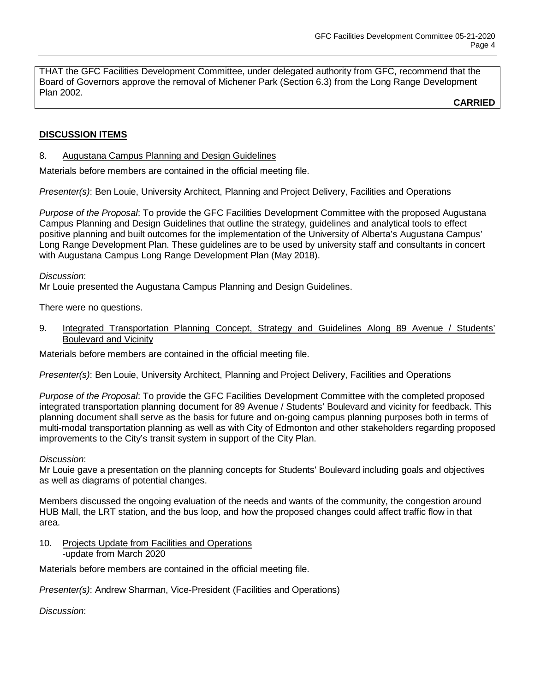THAT the GFC Facilities Development Committee, under delegated authority from GFC, recommend that the Board of Governors approve the removal of Michener Park (Section 6.3) from the Long Range Development Plan 2002.

**CARRIED**

# **DISCUSSION ITEMS**

### 8. Augustana Campus Planning and Design Guidelines

Materials before members are contained in the official meeting file.

*Presenter(s)*: Ben Louie, University Architect, Planning and Project Delivery, Facilities and Operations

*Purpose of the Proposal*: To provide the GFC Facilities Development Committee with the proposed Augustana Campus Planning and Design Guidelines that outline the strategy, guidelines and analytical tools to effect positive planning and built outcomes for the implementation of the University of Alberta's Augustana Campus' Long Range Development Plan. These guidelines are to be used by university staff and consultants in concert with Augustana Campus Long Range Development Plan (May 2018).

### *Discussion*:

Mr Louie presented the Augustana Campus Planning and Design Guidelines.

There were no questions.

9. Integrated Transportation Planning Concept, Strategy and Guidelines Along 89 Avenue / Students' Boulevard and Vicinity

Materials before members are contained in the official meeting file.

*Presenter(s)*: Ben Louie, University Architect, Planning and Project Delivery, Facilities and Operations

*Purpose of the Proposal*: To provide the GFC Facilities Development Committee with the completed proposed integrated transportation planning document for 89 Avenue / Students' Boulevard and vicinity for feedback. This planning document shall serve as the basis for future and on-going campus planning purposes both in terms of multi-modal transportation planning as well as with City of Edmonton and other stakeholders regarding proposed improvements to the City's transit system in support of the City Plan.

### *Discussion*:

Mr Louie gave a presentation on the planning concepts for Students' Boulevard including goals and objectives as well as diagrams of potential changes.

Members discussed the ongoing evaluation of the needs and wants of the community, the congestion around HUB Mall, the LRT station, and the bus loop, and how the proposed changes could affect traffic flow in that area.

10. Projects Update from Facilities and Operations -update from March 2020

Materials before members are contained in the official meeting file.

*Presenter(s)*: Andrew Sharman, Vice-President (Facilities and Operations)

*Discussion*: